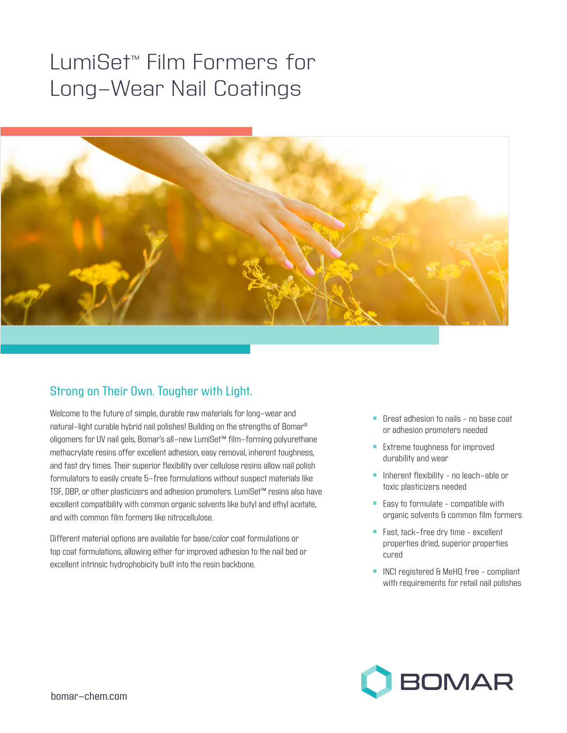# LumiSet™ Film Formers for Long-Wear Nail Coatings



## Strong on Their Own. Tougher with Light.

Welcome to the future of simple, durable raw materials for long-wear and natural-light curable hybrid nail polishes! Building on the strengths of Bomar® oligomers for UV nail gels, Bomar's all-new LumiSet™ film-forming polyurethane methacrylate resins offer excellent adhesion, easy removal, inherent toughness, and fast dry times. Their superior flexibility over cellulose resins allow nail polish formulators to easily create 5-free formulations without suspect materials like TSF, DBP, or other plasticizers and adhesion promoters. LumiSet™ resins also have excellent compatibility with common organic solvents like butyl and ethyl acetate, and with common film formers like nitrocellulose.

Different material options are available for base/color coat formulations or top coat formulations, allowing either for improved adhesion to the nail bed or excellent intrinsic hydrophobicity built into the resin backbone.

- $\blacksquare$  Great adhesion to nails no base coat or adhesion promoters needed
- **Extreme toughness for improved** durability and wear
- **n** Inherent flexibility no leach-able or toxic plasticizers needed
- $\blacksquare$  Easy to formulate compatible with organic solvents & common film formers
- Fast, tack-free dry time excellent properties dried, superior properties cured
- **n** INCI registered & MeHQ free compliant with requirements for retail nail polishes